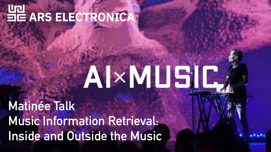# HE ARS ELECTRONICA

# AI×MU5IC

**Matinée Talk Music Information Retrieval: Inside and Outside the Music**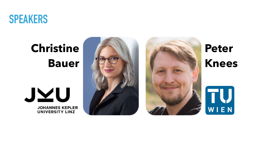

# **Christine Bauer**







**Peter Knees**

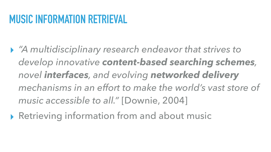### **MUSIC INFORMATION RETRIEVAL**

- ▸ *"A multidisciplinary research endeavor that strives to develop innovative content-based searching schemes, novel interfaces, and evolving networked delivery mechanisms in an effort to make the world's vast store of music accessible to all."* [Downie, 2004]
- ▶ Retrieving information from and about music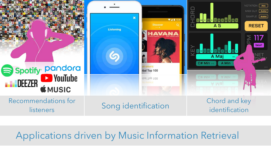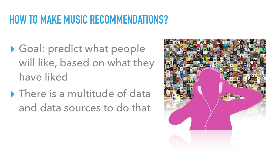## **HOW TO MAKE MUSIC RECOMMENDATIONS?**

- ▶ Goal: predict what people will like, based on what they have liked
- ▶ There is a multitude of data and data sources to do that

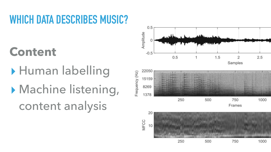# **WHICH DATA DESCRIBES MUSIC?**

# **Content**

▸ Human labelling ▸ Machine listening, content analysis

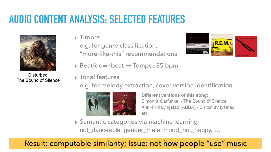# **AUDIO CONTENT ANALYSIS: SELECTED FEATURES**



**Disturbed** The Sound of Silence

### ▸ Timbre

e.g. for genre classification, "more-like-this" recommendations



- ▸ Beat/downbeat **→** Tempo: 85 bpm
- ▸ Tonal features

e.g. for melody extraction, cover version identification



**Different versions of this song:**  Simon & Garfunkel - The Sound of Silence Anni-Frid Lyngstad (ABBA) - En ton av tystnad etc.

▸ Semantic categories via machine learning not\_danceable, gender\_male, mood\_not\_happy, …

### Result: computable similarity; Issue: not how people "use" music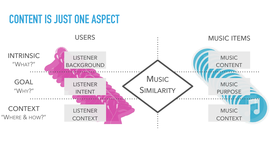## **CONTENT IS JUST ONE ASPECT**

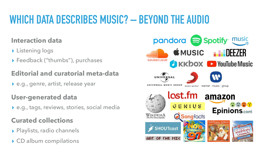# **WHICH DATA DESCRIBES MUSIC? – BEYOND THE AUDIO**

### **Interaction data**

- ▸ Listening logs
- ▸ Feedback ("thumbs"), purchases

### **Editorial and curatorial meta-data**

▸ e.g., genre, artist, release year

### **User-generated data**

▸ e.g., tags, reviews, stories, social media

### **Curated collections**

- ▸ Playlists, radio channels
- ▶ CD album compilations

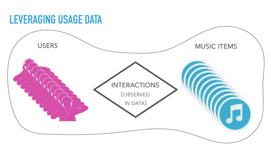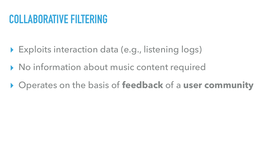- ▶ Exploits interaction data (e.g., listening logs)
- ▸ No information about music content required
- ▸ Operates on the basis of **feedback** of a **user community**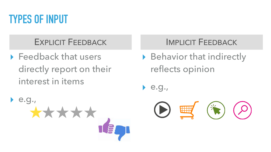

▶ Feedback that users directly report on their interest in items



▶ Behavior that indirectly reflects opinion

WH



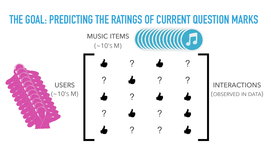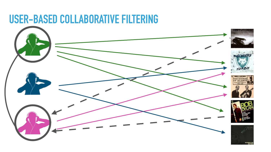### **USER-BASED COLLABORATIVE FILTERING**

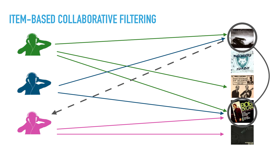### **ITEM-BASED COLLABORATIVE FILTERING**

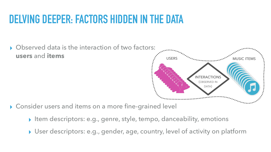### **DELVING DEEPER: FACTORS HIDDEN IN THE DATA**

▸ Observed data is the interaction of two factors: **users** and **items** USERS MUSIC ITEMS **INTERACTIONS** 

- ▸ Consider users and items on a more fine-grained level
	- ▸ Item descriptors: e.g., genre, style, tempo, danceability, emotions
	- ▸ User descriptors: e.g., gender, age, country, level of activity on platform

(OBSERVED IN DATA)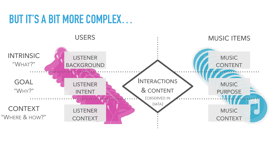## **BUT IT'S A BIT MORE COMPLEX…**

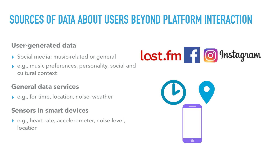# **SOURCES OF DATA ABOUT USERS BEYOND PLATFORM INTERACTION**

### **User-generated data**

- ▶ Social media: music-related or general
- ▸ e.g., music preferences, personality, social and cultural context

### **General data services**

▸ e.g., for time, location, noise, weather

### **Sensors in smart devices**

▸ e.g., heart rate, accelerometer, noise level, location



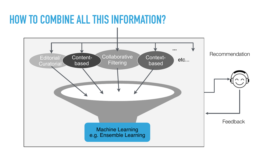### **HOW TO COMBINE ALL THIS INFORMATION?**



Recommendation